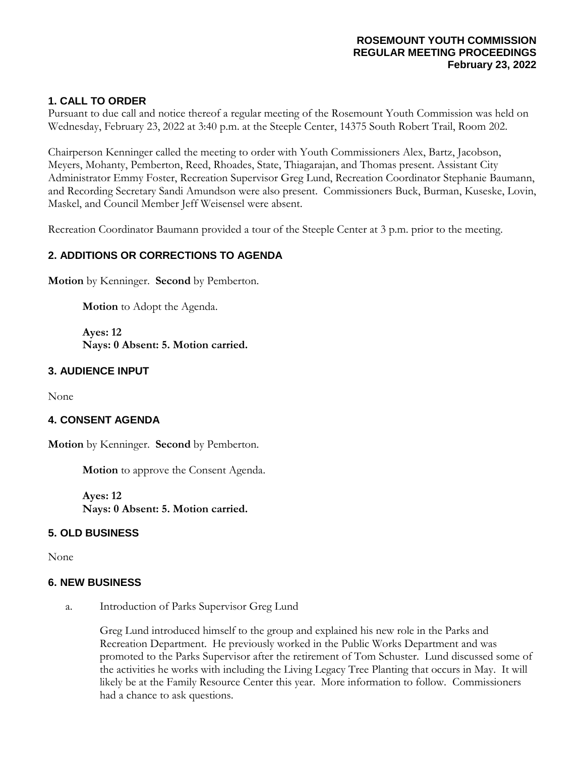### **ROSEMOUNT YOUTH COMMISSION REGULAR MEETING PROCEEDINGS February 23, 2022**

# **1. CALL TO ORDER**

Pursuant to due call and notice thereof a regular meeting of the Rosemount Youth Commission was held on Wednesday, February 23, 2022 at 3:40 p.m. at the Steeple Center, 14375 South Robert Trail, Room 202.

Chairperson Kenninger called the meeting to order with Youth Commissioners Alex, Bartz, Jacobson, Meyers, Mohanty, Pemberton, Reed, Rhoades, State, Thiagarajan, and Thomas present. Assistant City Administrator Emmy Foster, Recreation Supervisor Greg Lund, Recreation Coordinator Stephanie Baumann, and Recording Secretary Sandi Amundson were also present. Commissioners Buck, Burman, Kuseske, Lovin, Maskel, and Council Member Jeff Weisensel were absent.

Recreation Coordinator Baumann provided a tour of the Steeple Center at 3 p.m. prior to the meeting.

## **2. ADDITIONS OR CORRECTIONS TO AGENDA**

**Motion** by Kenninger. **Second** by Pemberton.

**Motion** to Adopt the Agenda.

**Ayes: 12 Nays: 0 Absent: 5. Motion carried.**

## **3. AUDIENCE INPUT**

None

#### **4. CONSENT AGENDA**

**Motion** by Kenninger. **Second** by Pemberton.

**Motion** to approve the Consent Agenda.

**Ayes: 12 Nays: 0 Absent: 5. Motion carried.**

## **5. OLD BUSINESS**

None

#### **6. NEW BUSINESS**

a. Introduction of Parks Supervisor Greg Lund

Greg Lund introduced himself to the group and explained his new role in the Parks and Recreation Department. He previously worked in the Public Works Department and was promoted to the Parks Supervisor after the retirement of Tom Schuster. Lund discussed some of the activities he works with including the Living Legacy Tree Planting that occurs in May. It will likely be at the Family Resource Center this year. More information to follow. Commissioners had a chance to ask questions.